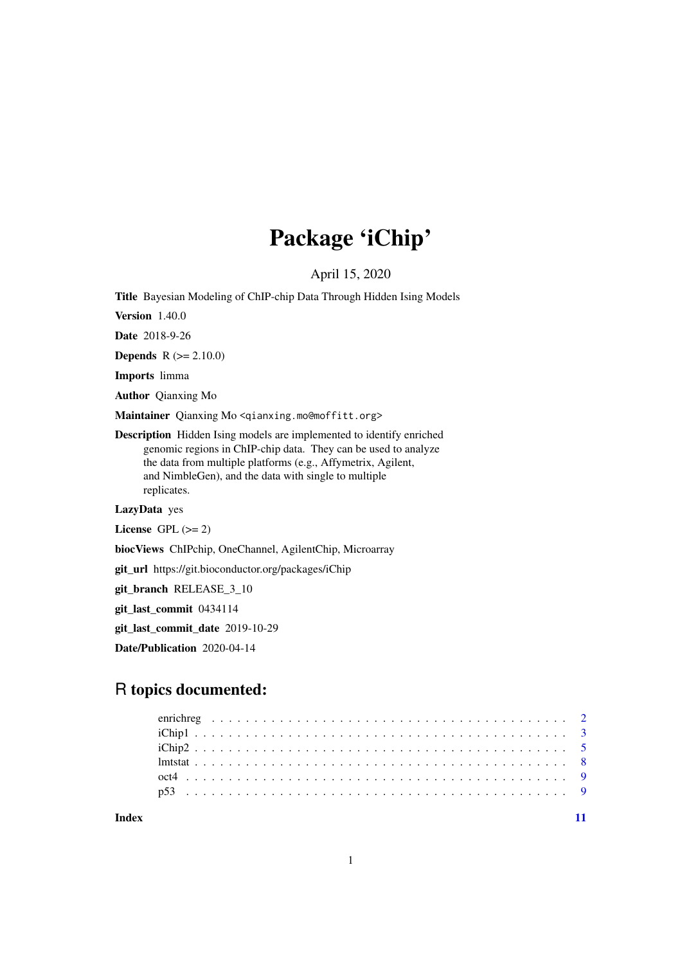# Package 'iChip'

April 15, 2020

Title Bayesian Modeling of ChIP-chip Data Through Hidden Ising Models

Version 1.40.0

Date 2018-9-26

**Depends**  $R (= 2.10.0)$ 

Imports limma

Author Qianxing Mo

Maintainer Qianxing Mo <qianxing.mo@moffitt.org>

Description Hidden Ising models are implemented to identify enriched genomic regions in ChIP-chip data. They can be used to analyze the data from multiple platforms (e.g., Affymetrix, Agilent, and NimbleGen), and the data with single to multiple replicates.

LazyData yes

License GPL  $(>= 2)$ 

biocViews ChIPchip, OneChannel, AgilentChip, Microarray

git\_url https://git.bioconductor.org/packages/iChip

git\_branch RELEASE\_3\_10

git\_last\_commit 0434114

git\_last\_commit\_date 2019-10-29

Date/Publication 2020-04-14

# R topics documented:

**Index** [11](#page-10-0)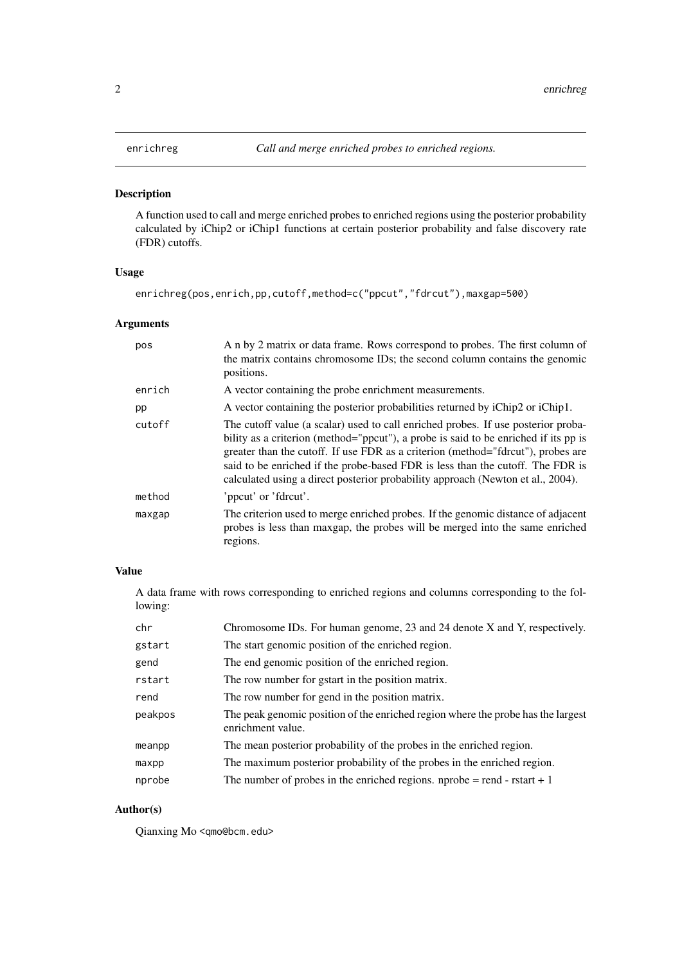# <span id="page-1-1"></span><span id="page-1-0"></span>Description

A function used to call and merge enriched probes to enriched regions using the posterior probability calculated by iChip2 or iChip1 functions at certain posterior probability and false discovery rate (FDR) cutoffs.

#### Usage

```
enrichreg(pos,enrich,pp,cutoff,method=c("ppcut","fdrcut"),maxgap=500)
```
# Arguments

| pos    | A n by 2 matrix or data frame. Rows correspond to probes. The first column of<br>the matrix contains chromosome IDs; the second column contains the genomic<br>positions.                                                                                                                                                                                                                                                         |
|--------|-----------------------------------------------------------------------------------------------------------------------------------------------------------------------------------------------------------------------------------------------------------------------------------------------------------------------------------------------------------------------------------------------------------------------------------|
| enrich | A vector containing the probe enrichment measurements.                                                                                                                                                                                                                                                                                                                                                                            |
| pp     | A vector containing the posterior probabilities returned by iChip2 or iChip1.                                                                                                                                                                                                                                                                                                                                                     |
| cutoff | The cutoff value (a scalar) used to call enriched probes. If use posterior proba-<br>bility as a criterion (method="ppcut"), a probe is said to be enriched if its pp is<br>greater than the cutoff. If use FDR as a criterion (method="fdrcut"), probes are<br>said to be enriched if the probe-based FDR is less than the cutoff. The FDR is<br>calculated using a direct posterior probability approach (Newton et al., 2004). |
| method | 'ppcut' or 'fdrcut'.                                                                                                                                                                                                                                                                                                                                                                                                              |
| maxgap | The criterion used to merge enriched probes. If the genomic distance of adjacent<br>probes is less than maxgap, the probes will be merged into the same enriched<br>regions.                                                                                                                                                                                                                                                      |

# Value

A data frame with rows corresponding to enriched regions and columns corresponding to the following:

| chr     | Chromosome IDs. For human genome, 23 and 24 denote X and Y, respectively.                             |
|---------|-------------------------------------------------------------------------------------------------------|
| gstart  | The start genomic position of the enriched region.                                                    |
| gend    | The end genomic position of the enriched region.                                                      |
| rstart  | The row number for gstart in the position matrix.                                                     |
| rend    | The row number for gend in the position matrix.                                                       |
| peakpos | The peak genomic position of the enriched region where the probe has the largest<br>enrichment value. |
| meanpp  | The mean posterior probability of the probes in the enriched region.                                  |
| maxpp   | The maximum posterior probability of the probes in the enriched region.                               |
| nprobe  | The number of probes in the enriched regions. nprobe $=$ rend - rstart $+1$                           |

### Author(s)

Qianxing Mo <qmo@bcm.edu>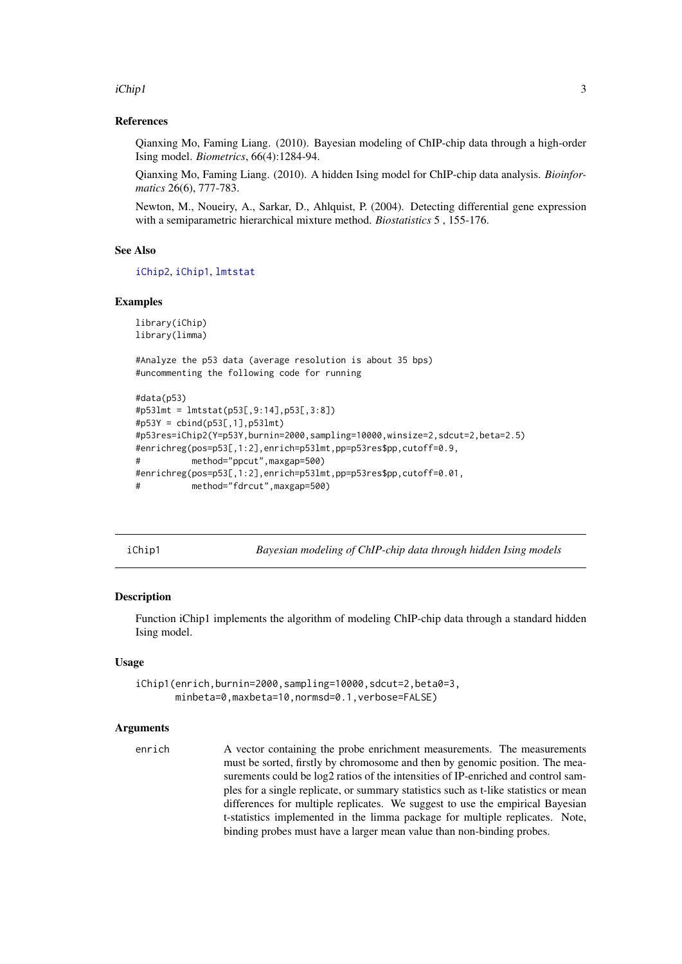<span id="page-2-0"></span>iChip1 3

#### References

Qianxing Mo, Faming Liang. (2010). Bayesian modeling of ChIP-chip data through a high-order Ising model. *Biometrics*, 66(4):1284-94.

Qianxing Mo, Faming Liang. (2010). A hidden Ising model for ChIP-chip data analysis. *Bioinformatics* 26(6), 777-783.

Newton, M., Noueiry, A., Sarkar, D., Ahlquist, P. (2004). Detecting differential gene expression with a semiparametric hierarchical mixture method. *Biostatistics* 5 , 155-176.

#### See Also

[iChip2](#page-4-1), [iChip1](#page-2-1), [lmtstat](#page-7-1)

#### Examples

```
library(iChip)
library(limma)
```
#Analyze the p53 data (average resolution is about 35 bps) #uncommenting the following code for running

```
#data(p53)
#p53lmt = lmtstat(p53[,9:14],p53[,3:8])
#p53Y = cbind(p53[,1],p53lmt)
#p53res=iChip2(Y=p53Y,burnin=2000,sampling=10000,winsize=2,sdcut=2,beta=2.5)
#enrichreg(pos=p53[,1:2],enrich=p53lmt,pp=p53res$pp,cutoff=0.9,
# method="ppcut",maxgap=500)
#enrichreg(pos=p53[,1:2],enrich=p53lmt,pp=p53res$pp,cutoff=0.01,
# method="fdrcut",maxgap=500)
```
<span id="page-2-1"></span>iChip1 *Bayesian modeling of ChIP-chip data through hidden Ising models*

#### **Description**

Function iChip1 implements the algorithm of modeling ChIP-chip data through a standard hidden Ising model.

#### Usage

```
iChip1(enrich,burnin=2000,sampling=10000,sdcut=2,beta0=3,
       minbeta=0,maxbeta=10,normsd=0.1,verbose=FALSE)
```
#### Arguments

enrich A vector containing the probe enrichment measurements. The measurements must be sorted, firstly by chromosome and then by genomic position. The measurements could be log2 ratios of the intensities of IP-enriched and control samples for a single replicate, or summary statistics such as t-like statistics or mean differences for multiple replicates. We suggest to use the empirical Bayesian t-statistics implemented in the limma package for multiple replicates. Note, binding probes must have a larger mean value than non-binding probes.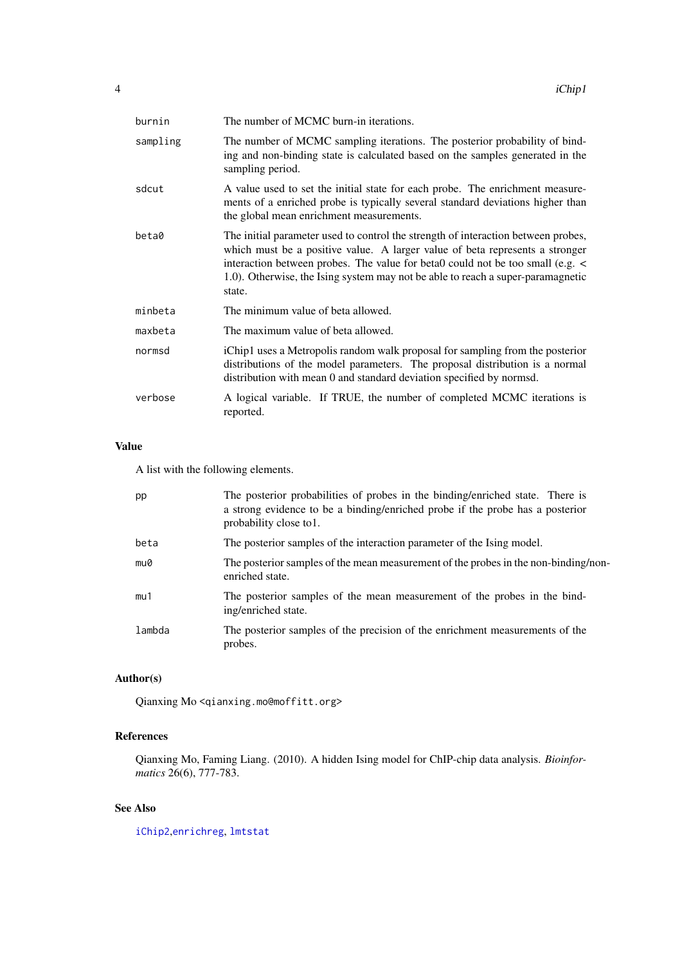<span id="page-3-0"></span>

| burnin   | The number of MCMC burn-in iterations.                                                                                                                                                                                                                                                                                                           |
|----------|--------------------------------------------------------------------------------------------------------------------------------------------------------------------------------------------------------------------------------------------------------------------------------------------------------------------------------------------------|
| sampling | The number of MCMC sampling iterations. The posterior probability of bind-<br>ing and non-binding state is calculated based on the samples generated in the<br>sampling period.                                                                                                                                                                  |
| sdcut    | A value used to set the initial state for each probe. The enrichment measure-<br>ments of a enriched probe is typically several standard deviations higher than<br>the global mean enrichment measurements.                                                                                                                                      |
| beta0    | The initial parameter used to control the strength of interaction between probes,<br>which must be a positive value. A larger value of beta represents a stronger<br>interaction between probes. The value for beta0 could not be too small (e.g. <<br>1.0). Otherwise, the Ising system may not be able to reach a super-paramagnetic<br>state. |
| minbeta  | The minimum value of beta allowed.                                                                                                                                                                                                                                                                                                               |
| maxbeta  | The maximum value of beta allowed.                                                                                                                                                                                                                                                                                                               |
| normsd   | iChip1 uses a Metropolis random walk proposal for sampling from the posterior<br>distributions of the model parameters. The proposal distribution is a normal<br>distribution with mean 0 and standard deviation specified by normsd.                                                                                                            |
| verbose  | A logical variable. If TRUE, the number of completed MCMC iterations is<br>reported.                                                                                                                                                                                                                                                             |

# Value

A list with the following elements.

| pp     | The posterior probabilities of probes in the binding/enriched state. There is<br>a strong evidence to be a binding/enriched probe if the probe has a posterior<br>probability close to 1. |
|--------|-------------------------------------------------------------------------------------------------------------------------------------------------------------------------------------------|
| beta   | The posterior samples of the interaction parameter of the Ising model.                                                                                                                    |
| mu0    | The posterior samples of the mean measurement of the probes in the non-binding/non-<br>enriched state.                                                                                    |
| mu1    | The posterior samples of the mean measurement of the probes in the bind-<br>ing/enriched state.                                                                                           |
| lambda | The posterior samples of the precision of the enrichment measurements of the<br>probes.                                                                                                   |

# Author(s)

Qianxing Mo <qianxing.mo@moffitt.org>

#### References

Qianxing Mo, Faming Liang. (2010). A hidden Ising model for ChIP-chip data analysis. *Bioinformatics* 26(6), 777-783.

# See Also

[iChip2](#page-4-1),[enrichreg](#page-1-1), [lmtstat](#page-7-1)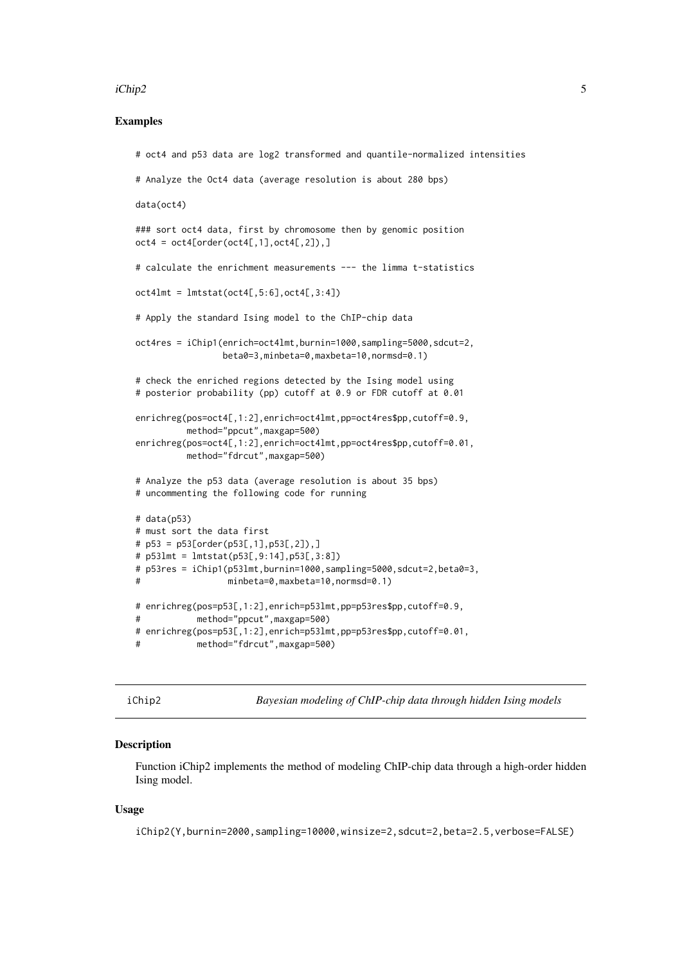#### <span id="page-4-0"></span>iChip2 5

#### Examples

```
# oct4 and p53 data are log2 transformed and quantile-normalized intensities
# Analyze the Oct4 data (average resolution is about 280 bps)
data(oct4)
### sort oct4 data, first by chromosome then by genomic position
oct4 = oct4[order(oct4[, 1], oct4[, 2]),# calculate the enrichment measurements --- the limma t-statistics
oct4lmt = lmtstat(oct4[, 5:6], oct4[, 3:4])# Apply the standard Ising model to the ChIP-chip data
oct4res = iChip1(enrich=oct4lmt,burnin=1000,sampling=5000,sdcut=2,
                beta0=3,minbeta=0,maxbeta=10,normsd=0.1)
# check the enriched regions detected by the Ising model using
# posterior probability (pp) cutoff at 0.9 or FDR cutoff at 0.01
enrichreg(pos=oct4[,1:2],enrich=oct4lmt,pp=oct4res$pp,cutoff=0.9,
         method="ppcut",maxgap=500)
enrichreg(pos=oct4[,1:2],enrich=oct4lmt,pp=oct4res$pp,cutoff=0.01,
         method="fdrcut",maxgap=500)
# Analyze the p53 data (average resolution is about 35 bps)
# uncommenting the following code for running
# data(p53)
# must sort the data first
# p53 = p53[order(p53[,1],p53[,2]),]
# p53lmt = lmtstat(p53[,9:14],p53[,3:8])
# p53res = iChip1(p53lmt,burnin=1000,sampling=5000,sdcut=2,beta0=3,
# minbeta=0,maxbeta=10,normsd=0.1)
# enrichreg(pos=p53[,1:2],enrich=p53lmt,pp=p53res$pp,cutoff=0.9,
# method="ppcut",maxgap=500)
# enrichreg(pos=p53[,1:2],enrich=p53lmt,pp=p53res$pp,cutoff=0.01,
# method="fdrcut",maxgap=500)
```
<span id="page-4-1"></span>iChip2 *Bayesian modeling of ChIP-chip data through hidden Ising models*

#### Description

Function iChip2 implements the method of modeling ChIP-chip data through a high-order hidden Ising model.

#### Usage

iChip2(Y,burnin=2000,sampling=10000,winsize=2,sdcut=2,beta=2.5,verbose=FALSE)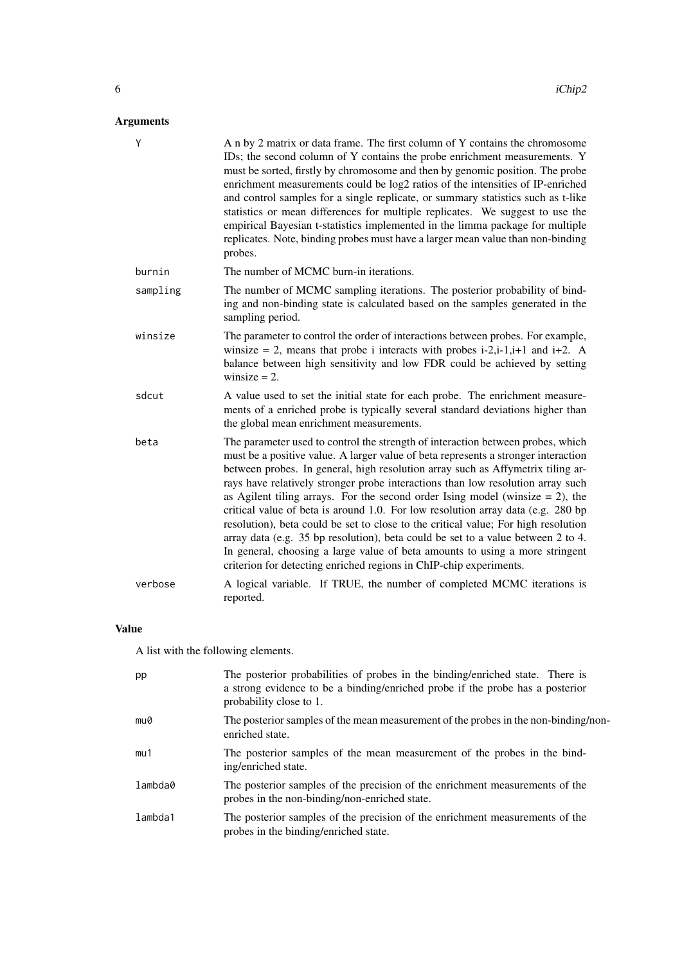# Arguments

| Y        | A n by 2 matrix or data frame. The first column of Y contains the chromosome<br>IDs; the second column of Y contains the probe enrichment measurements. Y<br>must be sorted, firstly by chromosome and then by genomic position. The probe<br>enrichment measurements could be log2 ratios of the intensities of IP-enriched<br>and control samples for a single replicate, or summary statistics such as t-like<br>statistics or mean differences for multiple replicates. We suggest to use the<br>empirical Bayesian t-statistics implemented in the limma package for multiple<br>replicates. Note, binding probes must have a larger mean value than non-binding<br>probes.                                                                                                                                                                    |
|----------|-----------------------------------------------------------------------------------------------------------------------------------------------------------------------------------------------------------------------------------------------------------------------------------------------------------------------------------------------------------------------------------------------------------------------------------------------------------------------------------------------------------------------------------------------------------------------------------------------------------------------------------------------------------------------------------------------------------------------------------------------------------------------------------------------------------------------------------------------------|
| burnin   | The number of MCMC burn-in iterations.                                                                                                                                                                                                                                                                                                                                                                                                                                                                                                                                                                                                                                                                                                                                                                                                              |
| sampling | The number of MCMC sampling iterations. The posterior probability of bind-<br>ing and non-binding state is calculated based on the samples generated in the<br>sampling period.                                                                                                                                                                                                                                                                                                                                                                                                                                                                                                                                                                                                                                                                     |
| winsize  | The parameter to control the order of interactions between probes. For example,<br>winsize = 2, means that probe i interacts with probes i-2,i-1,i+1 and i+2. A<br>balance between high sensitivity and low FDR could be achieved by setting<br>winsize $= 2$ .                                                                                                                                                                                                                                                                                                                                                                                                                                                                                                                                                                                     |
| sdcut    | A value used to set the initial state for each probe. The enrichment measure-<br>ments of a enriched probe is typically several standard deviations higher than<br>the global mean enrichment measurements.                                                                                                                                                                                                                                                                                                                                                                                                                                                                                                                                                                                                                                         |
| beta     | The parameter used to control the strength of interaction between probes, which<br>must be a positive value. A larger value of beta represents a stronger interaction<br>between probes. In general, high resolution array such as Affymetrix tiling ar-<br>rays have relatively stronger probe interactions than low resolution array such<br>as Agilent tiling arrays. For the second order Ising model (winsize $= 2$ ), the<br>critical value of beta is around 1.0. For low resolution array data (e.g. 280 bp<br>resolution), beta could be set to close to the critical value; For high resolution<br>array data (e.g. 35 bp resolution), beta could be set to a value between 2 to 4.<br>In general, choosing a large value of beta amounts to using a more stringent<br>criterion for detecting enriched regions in ChIP-chip experiments. |
| verbose  | A logical variable. If TRUE, the number of completed MCMC iterations is<br>reported.                                                                                                                                                                                                                                                                                                                                                                                                                                                                                                                                                                                                                                                                                                                                                                |

# Value

A list with the following elements.

| pp      | The posterior probabilities of probes in the binding/enriched state. There is<br>a strong evidence to be a binding/enriched probe if the probe has a posterior<br>probability close to 1. |
|---------|-------------------------------------------------------------------------------------------------------------------------------------------------------------------------------------------|
| mu0     | The posterior samples of the mean measurement of the probes in the non-binding/non-<br>enriched state.                                                                                    |
| mu1     | The posterior samples of the mean measurement of the probes in the bind-<br>ing/enriched state.                                                                                           |
| lambda0 | The posterior samples of the precision of the enrichment measurements of the<br>probes in the non-binding/non-enriched state.                                                             |
| lambda1 | The posterior samples of the precision of the enrichment measurements of the<br>probes in the binding/enriched state.                                                                     |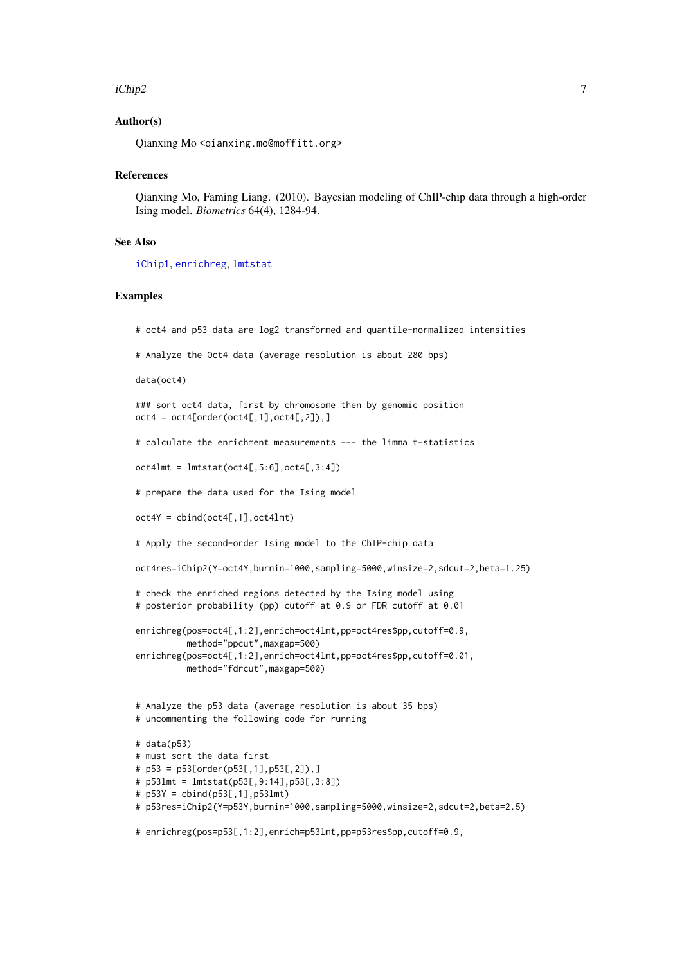#### <span id="page-6-0"></span>iChip2 7 *7*

#### Author(s)

Qianxing Mo <qianxing.mo@moffitt.org>

#### References

Qianxing Mo, Faming Liang. (2010). Bayesian modeling of ChIP-chip data through a high-order Ising model. *Biometrics* 64(4), 1284-94.

# See Also

[iChip1](#page-2-1), [enrichreg](#page-1-1), [lmtstat](#page-7-1)

#### Examples

```
# oct4 and p53 data are log2 transformed and quantile-normalized intensities
```
# Analyze the Oct4 data (average resolution is about 280 bps)

data(oct4)

### sort oct4 data, first by chromosome then by genomic position  $oct4 = oct4[order(oct4[, 1], oct4[, 2]),$ 

# calculate the enrichment measurements --- the limma t-statistics

 $oct4lmt = lmtstat(oct4[, 5:6], oct4[, 3:4])$ 

# prepare the data used for the Ising model

 $oct4Y = cbind(oct4[, 1], oct4Imt)$ 

# Apply the second-order Ising model to the ChIP-chip data

oct4res=iChip2(Y=oct4Y,burnin=1000,sampling=5000,winsize=2,sdcut=2,beta=1.25)

# check the enriched regions detected by the Ising model using # posterior probability (pp) cutoff at 0.9 or FDR cutoff at 0.01

enrichreg(pos=oct4[,1:2],enrich=oct4lmt,pp=oct4res\$pp,cutoff=0.9, method="ppcut",maxgap=500) enrichreg(pos=oct4[,1:2],enrich=oct4lmt,pp=oct4res\$pp,cutoff=0.01,

```
method="fdrcut",maxgap=500)
```
# Analyze the p53 data (average resolution is about 35 bps) # uncommenting the following code for running

```
# data(p53)
# must sort the data first
# p53 = p53[order(p53[,1],p53[,2]),]
# p53lmt = lmtstat(p53[,9:14],p53[,3:8])
# p53Y = cbind(p53[,1],p53lmt)
# p53res=iChip2(Y=p53Y,burnin=1000,sampling=5000,winsize=2,sdcut=2,beta=2.5)
```
# enrichreg(pos=p53[,1:2],enrich=p53lmt,pp=p53res\$pp,cutoff=0.9,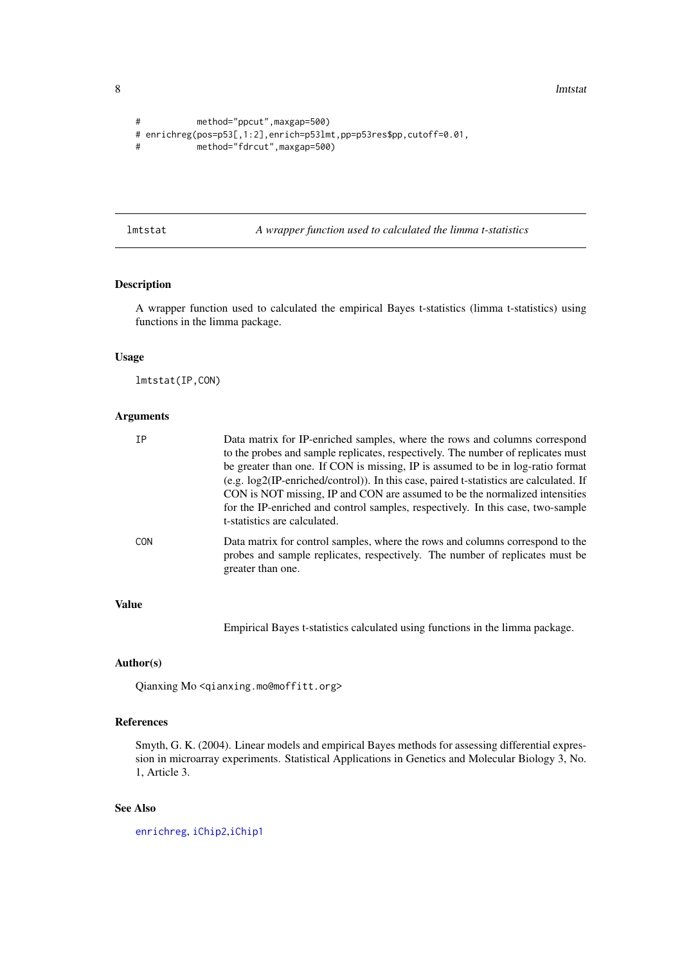8 lmtstat

```
# method="ppcut",maxgap=500)
# enrichreg(pos=p53[,1:2],enrich=p53lmt,pp=p53res$pp,cutoff=0.01,
# method="fdrcut",maxgap=500)
```
<span id="page-7-1"></span>lmtstat *A wrapper function used to calculated the limma t-statistics*

# Description

A wrapper function used to calculated the empirical Bayes t-statistics (limma t-statistics) using functions in the limma package.

#### Usage

lmtstat(IP,CON)

#### Arguments

| TP         | Data matrix for IP-enriched samples, where the rows and columns correspond<br>to the probes and sample replicates, respectively. The number of replicates must<br>be greater than one. If CON is missing, IP is assumed to be in log-ratio format<br>(e.g. log2(IP-enriched/control)). In this case, paired t-statistics are calculated. If<br>CON is NOT missing, IP and CON are assumed to be the normalized intensities<br>for the IP-enriched and control samples, respectively. In this case, two-sample<br>t-statistics are calculated. |
|------------|-----------------------------------------------------------------------------------------------------------------------------------------------------------------------------------------------------------------------------------------------------------------------------------------------------------------------------------------------------------------------------------------------------------------------------------------------------------------------------------------------------------------------------------------------|
| <b>CON</b> | Data matrix for control samples, where the rows and columns correspond to the<br>probes and sample replicates, respectively. The number of replicates must be<br>greater than one.                                                                                                                                                                                                                                                                                                                                                            |

#### Value

Empirical Bayes t-statistics calculated using functions in the limma package.

#### Author(s)

Qianxing Mo <qianxing.mo@moffitt.org>

# References

Smyth, G. K. (2004). Linear models and empirical Bayes methods for assessing differential expression in microarray experiments. Statistical Applications in Genetics and Molecular Biology 3, No. 1, Article 3.

# See Also

[enrichreg](#page-1-1), [iChip2](#page-4-1),[iChip1](#page-2-1)

<span id="page-7-0"></span>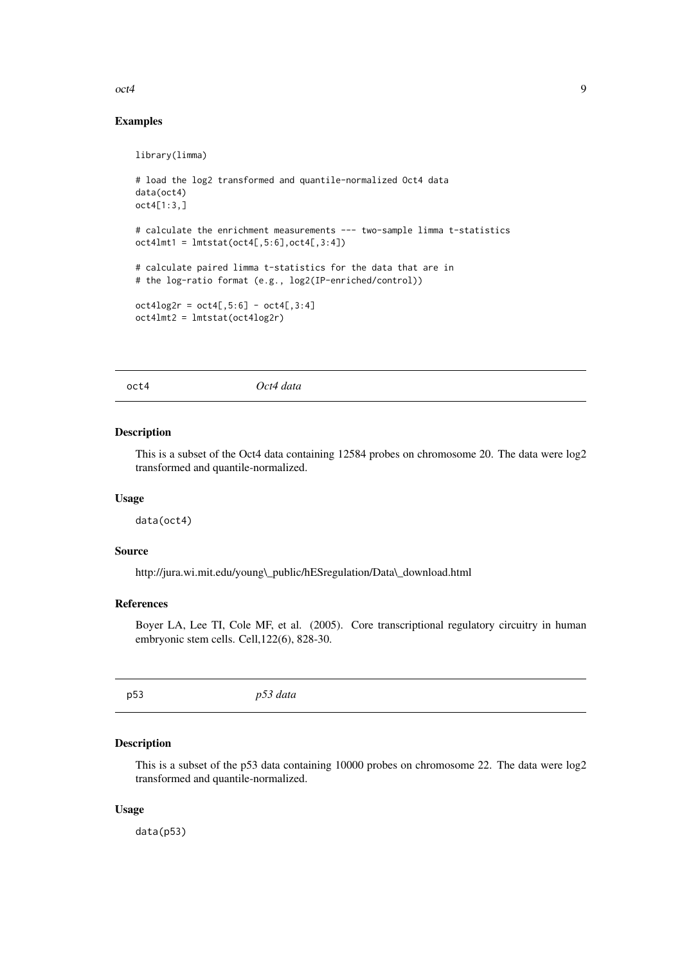<span id="page-8-0"></span> $\cot 4$  9

#### Examples

```
library(limma)
# load the log2 transformed and quantile-normalized Oct4 data
data(oct4)
oct4[1:3,]
# calculate the enrichment measurements --- two-sample limma t-statistics
oct4lmt1 = lmtstat(oct4[,5:6],oct4[,3:4])
# calculate paired limma t-statistics for the data that are in
# the log-ratio format (e.g., log2(IP-enriched/control))
oct4log2r = oct4[, 5:6] - oct4[, 3:4]oct4lmt2 = lmtstat(oct4log2r)
```
oct4 *Oct4 data*

#### Description

This is a subset of the Oct4 data containing 12584 probes on chromosome 20. The data were log2 transformed and quantile-normalized.

#### Usage

data(oct4)

### Source

http://jura.wi.mit.edu/young\\_public/hESregulation/Data\\_download.html

#### References

Boyer LA, Lee TI, Cole MF, et al. (2005). Core transcriptional regulatory circuitry in human embryonic stem cells. Cell,122(6), 828-30.

p53 *p53 data*

#### Description

This is a subset of the p53 data containing 10000 probes on chromosome 22. The data were log2 transformed and quantile-normalized.

### Usage

data(p53)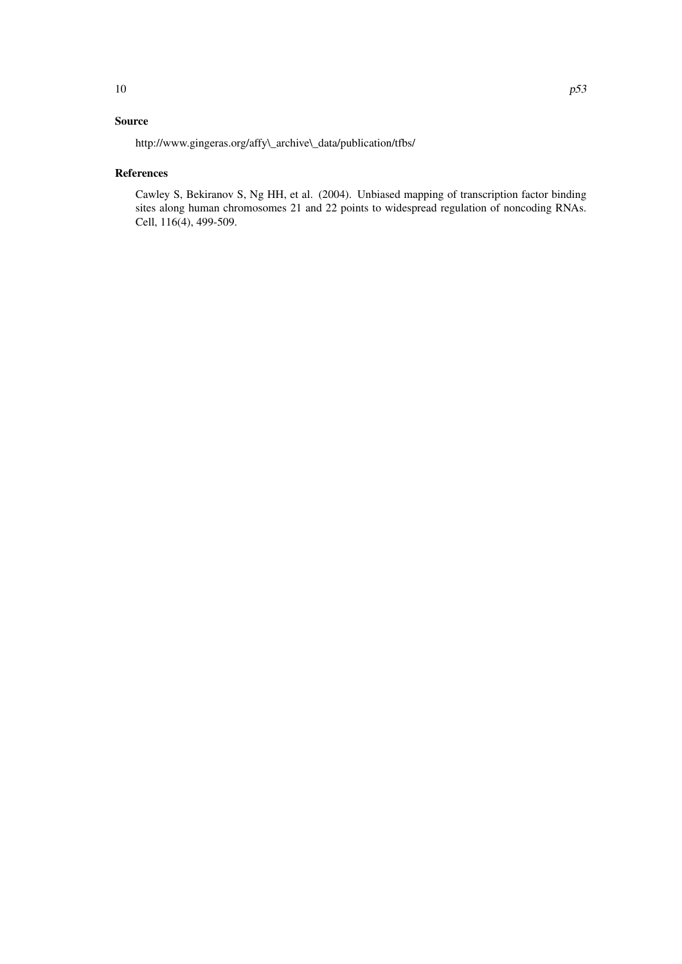# Source

http://www.gingeras.org/affy\\_archive\\_data/publication/tfbs/

# References

Cawley S, Bekiranov S, Ng HH, et al. (2004). Unbiased mapping of transcription factor binding sites along human chromosomes 21 and 22 points to widespread regulation of noncoding RNAs. Cell, 116(4), 499-509.